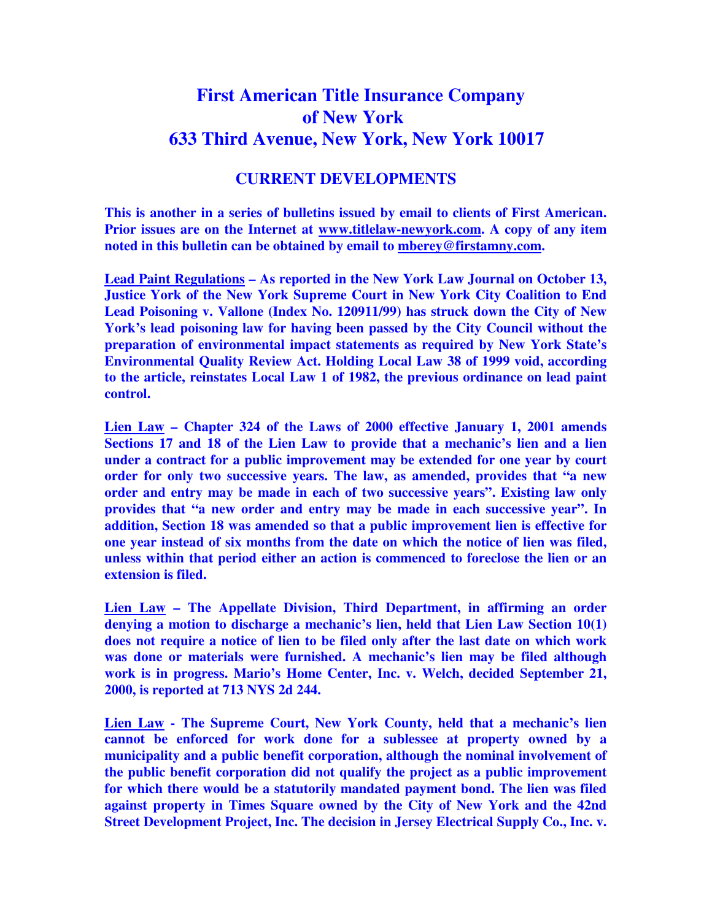## **First American Title Insurance Company of New York 633 Third Avenue, New York, New York 10017**

## **CURRENT DEVELOPMENTS**

**This is another in a series of bulletins issued by email to clients of First American. Prior issues are on the Internet at www.titlelaw-newyork.com. A copy of any item noted in this bulletin can be obtained by email to mberey@firstamny.com.** 

**Lead Paint Regulations – As reported in the New York Law Journal on October 13, Justice York of the New York Supreme Court in New York City Coalition to End Lead Poisoning v. Vallone (Index No. 120911/99) has struck down the City of New York's lead poisoning law for having been passed by the City Council without the preparation of environmental impact statements as required by New York State's Environmental Quality Review Act. Holding Local Law 38 of 1999 void, according to the article, reinstates Local Law 1 of 1982, the previous ordinance on lead paint control.** 

**Lien Law – Chapter 324 of the Laws of 2000 effective January 1, 2001 amends Sections 17 and 18 of the Lien Law to provide that a mechanic's lien and a lien under a contract for a public improvement may be extended for one year by court order for only two successive years. The law, as amended, provides that "a new order and entry may be made in each of two successive years". Existing law only provides that "a new order and entry may be made in each successive year". In addition, Section 18 was amended so that a public improvement lien is effective for one year instead of six months from the date on which the notice of lien was filed, unless within that period either an action is commenced to foreclose the lien or an extension is filed.** 

**Lien Law – The Appellate Division, Third Department, in affirming an order denying a motion to discharge a mechanic's lien, held that Lien Law Section 10(1) does not require a notice of lien to be filed only after the last date on which work was done or materials were furnished. A mechanic's lien may be filed although work is in progress. Mario's Home Center, Inc. v. Welch, decided September 21, 2000, is reported at 713 NYS 2d 244.** 

**Lien Law - The Supreme Court, New York County, held that a mechanic's lien cannot be enforced for work done for a sublessee at property owned by a municipality and a public benefit corporation, although the nominal involvement of the public benefit corporation did not qualify the project as a public improvement for which there would be a statutorily mandated payment bond. The lien was filed against property in Times Square owned by the City of New York and the 42nd Street Development Project, Inc. The decision in Jersey Electrical Supply Co., Inc. v.**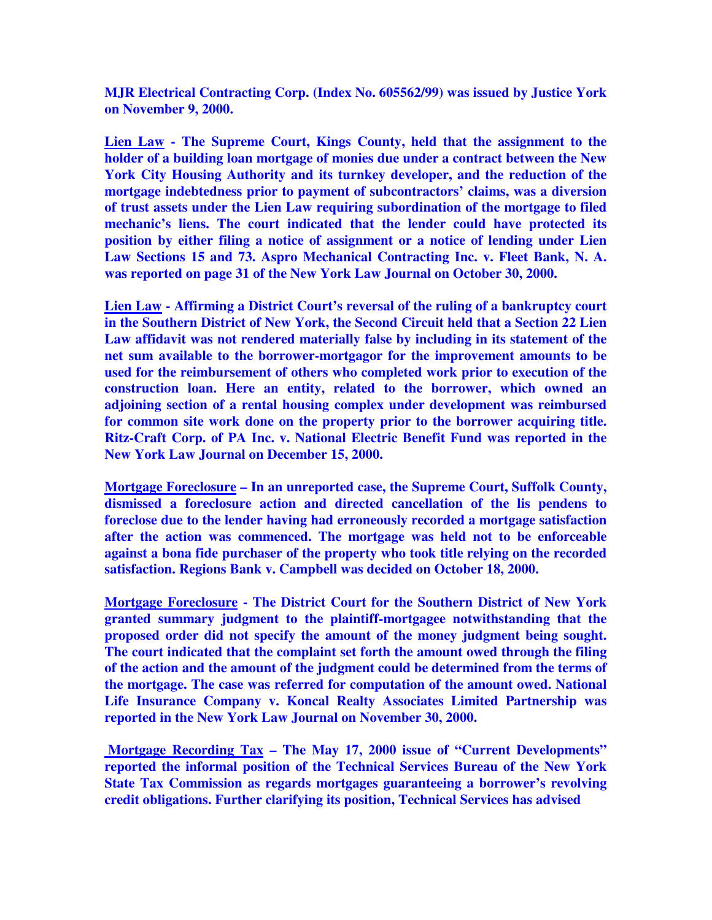**MJR Electrical Contracting Corp. (Index No. 605562/99) was issued by Justice York on November 9, 2000.** 

**Lien Law - The Supreme Court, Kings County, held that the assignment to the holder of a building loan mortgage of monies due under a contract between the New York City Housing Authority and its turnkey developer, and the reduction of the mortgage indebtedness prior to payment of subcontractors' claims, was a diversion of trust assets under the Lien Law requiring subordination of the mortgage to filed mechanic's liens. The court indicated that the lender could have protected its position by either filing a notice of assignment or a notice of lending under Lien Law Sections 15 and 73. Aspro Mechanical Contracting Inc. v. Fleet Bank, N. A. was reported on page 31 of the New York Law Journal on October 30, 2000.** 

**Lien Law - Affirming a District Court's reversal of the ruling of a bankruptcy court in the Southern District of New York, the Second Circuit held that a Section 22 Lien Law affidavit was not rendered materially false by including in its statement of the net sum available to the borrower-mortgagor for the improvement amounts to be used for the reimbursement of others who completed work prior to execution of the construction loan. Here an entity, related to the borrower, which owned an adjoining section of a rental housing complex under development was reimbursed for common site work done on the property prior to the borrower acquiring title. Ritz-Craft Corp. of PA Inc. v. National Electric Benefit Fund was reported in the New York Law Journal on December 15, 2000.** 

**Mortgage Foreclosure – In an unreported case, the Supreme Court, Suffolk County, dismissed a foreclosure action and directed cancellation of the lis pendens to foreclose due to the lender having had erroneously recorded a mortgage satisfaction after the action was commenced. The mortgage was held not to be enforceable against a bona fide purchaser of the property who took title relying on the recorded satisfaction. Regions Bank v. Campbell was decided on October 18, 2000.** 

**Mortgage Foreclosure - The District Court for the Southern District of New York granted summary judgment to the plaintiff-mortgagee notwithstanding that the proposed order did not specify the amount of the money judgment being sought. The court indicated that the complaint set forth the amount owed through the filing of the action and the amount of the judgment could be determined from the terms of the mortgage. The case was referred for computation of the amount owed. National Life Insurance Company v. Koncal Realty Associates Limited Partnership was reported in the New York Law Journal on November 30, 2000.** 

 **Mortgage Recording Tax – The May 17, 2000 issue of "Current Developments" reported the informal position of the Technical Services Bureau of the New York State Tax Commission as regards mortgages guaranteeing a borrower's revolving credit obligations. Further clarifying its position, Technical Services has advised**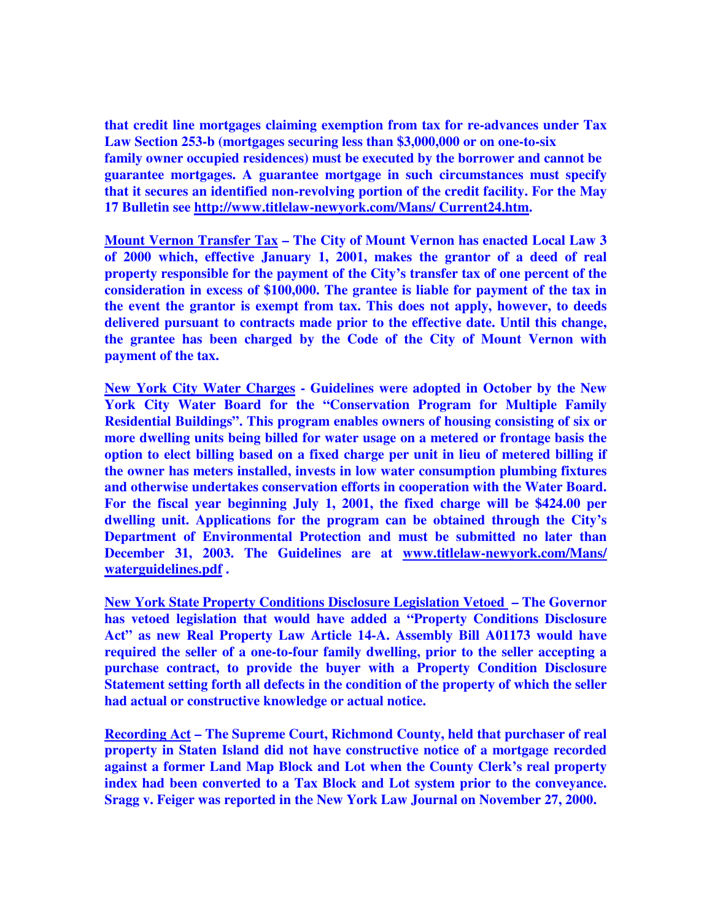**that credit line mortgages claiming exemption from tax for re-advances under Tax Law Section 253-b (mortgages securing less than \$3,000,000 or on one-to-six family owner occupied residences) must be executed by the borrower and cannot be guarantee mortgages. A guarantee mortgage in such circumstances must specify that it secures an identified non-revolving portion of the credit facility. For the May 17 Bulletin see http://www.titlelaw-newyork.com/Mans/ Current24.htm.** 

**Mount Vernon Transfer Tax – The City of Mount Vernon has enacted Local Law 3 of 2000 which, effective January 1, 2001, makes the grantor of a deed of real property responsible for the payment of the City's transfer tax of one percent of the consideration in excess of \$100,000. The grantee is liable for payment of the tax in the event the grantor is exempt from tax. This does not apply, however, to deeds delivered pursuant to contracts made prior to the effective date. Until this change, the grantee has been charged by the Code of the City of Mount Vernon with payment of the tax.** 

**New York City Water Charges - Guidelines were adopted in October by the New York City Water Board for the "Conservation Program for Multiple Family Residential Buildings". This program enables owners of housing consisting of six or more dwelling units being billed for water usage on a metered or frontage basis the option to elect billing based on a fixed charge per unit in lieu of metered billing if the owner has meters installed, invests in low water consumption plumbing fixtures and otherwise undertakes conservation efforts in cooperation with the Water Board. For the fiscal year beginning July 1, 2001, the fixed charge will be \$424.00 per dwelling unit. Applications for the program can be obtained through the City's Department of Environmental Protection and must be submitted no later than December 31, 2003. The Guidelines are at www.titlelaw-newyork.com/Mans/ waterguidelines.pdf .** 

**New York State Property Conditions Disclosure Legislation Vetoed – The Governor has vetoed legislation that would have added a "Property Conditions Disclosure Act" as new Real Property Law Article 14-A. Assembly Bill A01173 would have required the seller of a one-to-four family dwelling, prior to the seller accepting a purchase contract, to provide the buyer with a Property Condition Disclosure Statement setting forth all defects in the condition of the property of which the seller had actual or constructive knowledge or actual notice.** 

**Recording Act – The Supreme Court, Richmond County, held that purchaser of real property in Staten Island did not have constructive notice of a mortgage recorded against a former Land Map Block and Lot when the County Clerk's real property index had been converted to a Tax Block and Lot system prior to the conveyance. Sragg v. Feiger was reported in the New York Law Journal on November 27, 2000.**